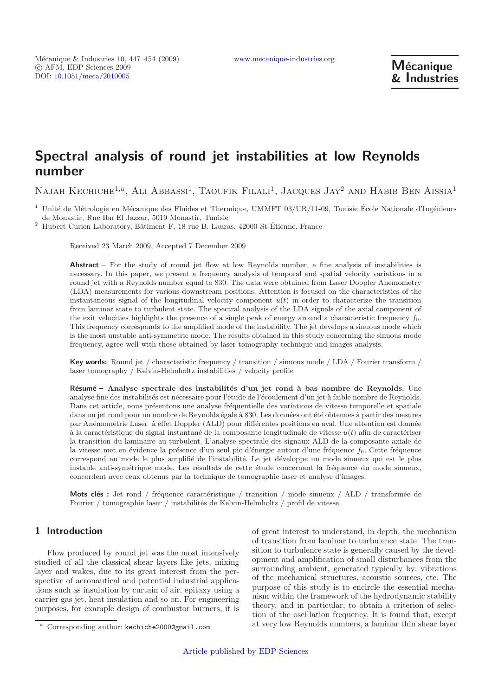# **Spectral analysis of round jet instabilities at low Reynolds number**

NAJAH KECHICHE<sup>1,a</sup>, ALI ABBASSI<sup>1</sup>, TAOUFIK FILALI<sup>1</sup>, JACQUES JAY<sup>2</sup> AND HABIB BEN AISSIA<sup>1</sup>

<sup>1</sup> Unité de Métrologie en Mécanique des Fluides et Thermique, UMMFT 03/UR/11-09, Tunisie École Nationale d'Ingénieurs de Monastir, Rue Ibn El Jazzar, 5019 Monastir, Tunisie

<sup>2</sup> Hubert Curien Laboratory, Bâtiment F, 18 rue B. Lauras, 42000 St-Étienne, France

Received 23 March 2009, Accepted 7 December 2009

**Abstract –** For the study of round jet flow at low Reynolds number, a fine analysis of instabilities is necessary. In this paper, we present a frequency analysis of temporal and spatial velocity variations in a round jet with a Reynolds number equal to 830. The data were obtained from Laser Doppler Anemometry (LDA) measurements for various downstream positions. Attention is focused on the characteristics of the instantaneous signal of the longitudinal velocity component  $u(t)$  in order to characterize the transition from laminar state to turbulent state. The spectral analysis of the LDA signals of the axial component of the exit velocities highlights the presence of a single peak of energy around a characteristic frequency *f*0. This frequency corresponds to the amplified mode of the instability. The jet develops a sinuous mode which is the most unstable anti-symmetric mode. The results obtained in this study concerning the sinuous mode frequency, agree well with those obtained by laser tomography technique and images analysis.

**Key words:** Round jet / characteristic frequency / transition / sinuous mode / LDA / Fourier transform / laser tomography / Kelvin-Helmholtz instabilities / velocity profile

**Résumé – Analyse spectrale des instabilités d'un jet rond à bas nombre de Reynolds.** Une analyse fine des instabilités est nécessaire pour l'étude de l'écoulement d'un jet à faible nombre de Reynolds. Dans cet article, nous présentons une analyse fréquentielle des variations de vitesse temporelle et spatiale dans un jet rond pour un nombre de Reynolds égale à 830. Les données ont été obtenues à partir des mesures par Anémométrie Laser à effet Doppler (ALD) pour différentes positions en aval. Une attention est donnée à la caractéristique du signal instantané de la composante longitudinale de vitesse  $u(t)$  afin de caractériser la transition du laminaire au turbulent. L'analyse spectrale des signaux ALD de la composante axiale de la vitesse met en évidence la présence d'un seul pic d'énergie autour d'une fréquence *f*<sub>0</sub>. Cette fréquence correspond au mode le plus amplifié de l'instabilité. Le jet développe un mode sinueux qui est le plus instable anti-symétrique mode. Les résultats de cette étude concernant la fréquence du mode sinueux, concordent avec ceux obtenus par la technique de tomographie laser et analyse d'images.

**Mots clés :** Jet rond / fréquence caractéristique / transition / mode sinueux / ALD / transformée de Fourier / tomographie laser / instabilités de Kelvin-Helmholtz / profil de vitesse

## **1 Introduction**

Flow produced by round jet was the most intensively studied of all the classical shear layers like jets, mixing layer and wakes, due to its great interest from the perspective of aeronautical and potential industrial applications such as insulation by curtain of air, epitaxy using a carrier gas jet, heat insulation and so on. For engineering purposes, for example design of combustor burners, it is

of great interest to understand, in depth, the mechanism of transition from laminar to turbulence state. The transition to turbulence state is generally caused by the development and amplification of small disturbances from the surrounding ambient, generated typically by: vibrations of the mechanical structures, acoustic sources, etc. The purpose of this study is to encircle the essential mechanism within the framework of the hydrodynamic stability theory, and in particular, to obtain a criterion of selection of the oscillation frequency. It is found that, except at very low Reynolds numbers, a laminar thin shear layer

Corresponding author: kechiche2000@gmail.com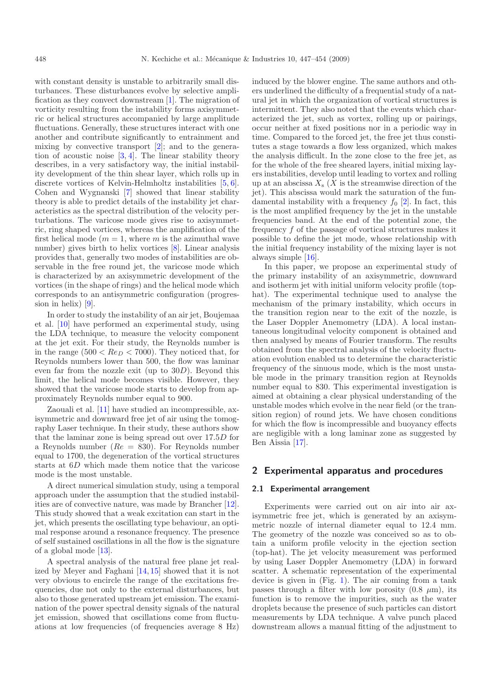with constant density is unstable to arbitrarily small disturbances. These disturbances evolve by selective amplification as they convect downstream [\[1](#page-7-0)]. The migration of vorticity resulting from the instability forms axisymmetric or helical structures accompanied by large amplitude fluctuations. Generally, these structures interact with one another and contribute significantly to entrainment and mixing by convective transport [\[2\]](#page-7-1); and to the generation of acoustic noise [\[3](#page-7-2), [4](#page-7-3)]. The linear stability theory describes, in a very satisfactory way, the initial instability development of the thin shear layer, which rolls up in discrete vortices of Kelvin-Helmholtz instabilities [\[5,](#page-7-4) [6\]](#page-7-5). Cohen and Wygnanski [\[7](#page-7-6)] showed that linear stability theory is able to predict details of the instability jet characteristics as the spectral distribution of the velocity perturbations. The varicose mode gives rise to axisymmetric, ring shaped vortices, whereas the amplification of the first helical mode  $(m = 1,$  where m is the azimuthal wave number) gives birth to helix vortices [\[8\]](#page-7-7). Linear analysis provides that, generally two modes of instabilities are observable in the free round jet, the varicose mode which is characterized by an axisymmetric development of the vortices (in the shape of rings) and the helical mode which corresponds to an antisymmetric configuration (progression in helix) [\[9\]](#page-7-8).

In order to study the instability of an air jet, Boujemaa et al. [\[10\]](#page-7-9) have performed an experimental study, using the LDA technique, to measure the velocity component at the jet exit. For their study, the Reynolds number is in the range  $(500 < Re<sub>D</sub> < 7000)$ . They noticed that, for Reynolds numbers lower than 500, the flow was laminar even far from the nozzle exit (up to 30D). Beyond this limit, the helical mode becomes visible. However, they showed that the varicose mode starts to develop from approximately Reynolds number equal to 900.

Zaouali et al. [\[11\]](#page-7-10) have studied an incompressible, axisymmetric and downward free jet of air using the tomography Laser technique. In their study, these authors show that the laminar zone is being spread out over 17.5D for a Reynolds number ( $Re = 830$ ). For Reynolds number equal to 1700, the degeneration of the vortical structures starts at 6D which made them notice that the varicose mode is the most unstable.

A direct numerical simulation study, using a temporal approach under the assumption that the studied instabilities are of convective nature, was made by Brancher [\[12\]](#page-7-11). This study showed that a weak excitation can start in the jet, which presents the oscillating type behaviour, an optimal response around a resonance frequency. The presence of self sustained oscillations in all the flow is the signature of a global mode [\[13\]](#page-7-12).

A spectral analysis of the natural free plane jet realized by Meyer and Faghani [\[14,](#page-7-13) [15\]](#page-7-14) showed that it is not very obvious to encircle the range of the excitations frequencies, due not only to the external disturbances, but also to those generated upstream jet emission. The examination of the power spectral density signals of the natural jet emission, showed that oscillations come from fluctuations at low frequencies (of frequencies average 8 Hz) induced by the blower engine. The same authors and others underlined the difficulty of a frequential study of a natural jet in which the organization of vortical structures is intermittent. They also noted that the events which characterized the jet, such as vortex, rolling up or pairings, occur neither at fixed positions nor in a periodic way in time. Compared to the forced jet, the free jet thus constitutes a stage towards a flow less organized, which makes the analysis difficult. In the zone close to the free jet, as for the whole of the free sheared layers, initial mixing layers instabilities, develop until leading to vortex and rolling up at an abscissa  $X_{s}$  (X is the streamwise direction of the jet). This abscissa would mark the saturation of the fundamental instability with a frequency  $f_0$  [\[2](#page-7-1)]. In fact, this is the most amplified frequency by the jet in the unstable frequencies band. At the end of the potential zone, the frequency f of the passage of vortical structures makes it possible to define the jet mode, whose relationship with the initial frequency instability of the mixing layer is not always simple [\[16\]](#page-7-15).

In this paper, we propose an experimental study of the primary instability of an axisymmetric, downward and isotherm jet with initial uniform velocity profile (tophat). The experimental technique used to analyse the mechanism of the primary instability, which occurs in the transition region near to the exit of the nozzle, is the Laser Doppler Anemometry (LDA). A local instantaneous longitudinal velocity component is obtained and then analysed by means of Fourier transform. The results obtained from the spectral analysis of the velocity fluctuation evolution enabled us to determine the characteristic frequency of the sinuous mode, which is the most unstable mode in the primary transition region at Reynolds number equal to 830. This experimental investigation is aimed at obtaining a clear physical understanding of the unstable modes which evolve in the near field (or the transition region) of round jets. We have chosen conditions for which the flow is incompressible and buoyancy effects are negligible with a long laminar zone as suggested by Ben Aissia [\[17](#page-7-16)].

## **2 Experimental apparatus and procedures**

#### **2.1 Experimental arrangement**

Experiments were carried out on air into air axisymmetric free jet, which is generated by an axisymmetric nozzle of internal diameter equal to 12.4 mm. The geometry of the nozzle was conceived so as to obtain a uniform profile velocity in the ejection section (top-hat). The jet velocity measurement was performed by using Laser Doppler Anemometry (LDA) in forward scatter. A schematic representation of the experimental device is given in  $(Fig. 1)$  $(Fig. 1)$ . The air coming from a tank passes through a filter with low porosity  $(0.8 \mu m)$ , its function is to remove the impurities, such as the water droplets because the presence of such particles can distort measurements by LDA technique. A valve punch placed downstream allows a manual fitting of the adjustment to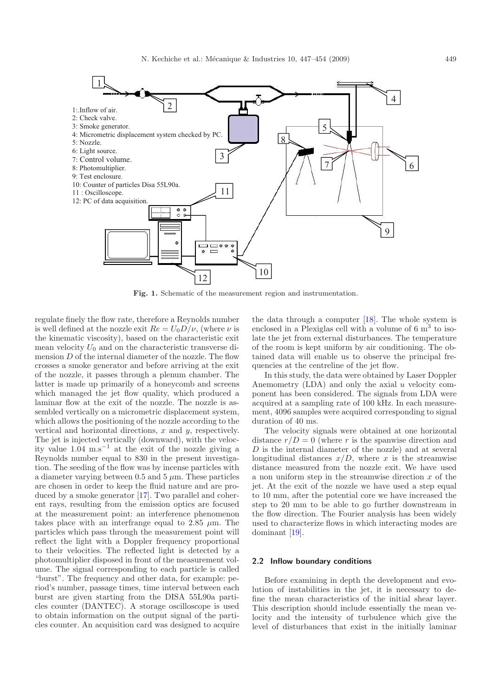<span id="page-2-0"></span>

**Fig. 1.** Schematic of the measurement region and instrumentation.

regulate finely the flow rate, therefore a Reynolds number is well defined at the nozzle exit  $Re = U_0 D/\nu$ , (where  $\nu$  is the kinematic viscosity), based on the characteristic exit mean velocity  $U_0$  and on the characteristic transverse dimension  $D$  of the internal diameter of the nozzle. The flow crosses a smoke generator and before arriving at the exit of the nozzle, it passes through a plenum chamber. The latter is made up primarily of a honeycomb and screens which managed the jet flow quality, which produced a laminar flow at the exit of the nozzle. The nozzle is assembled vertically on a micrometric displacement system, which allows the positioning of the nozzle according to the vertical and horizontal directions,  $x$  and  $y$ , respectively. The jet is injected vertically (downward), with the velocity value  $1.04 \text{ m.s}^{-1}$  at the exit of the nozzle giving a Reynolds number equal to 830 in the present investigation. The seeding of the flow was by incense particles with a diameter varying between 0.5 and 5  $\mu$ m. These particles are chosen in order to keep the fluid nature and are produced by a smoke generator [\[17](#page-7-16)]. Two parallel and coherent rays, resulting from the emission optics are focused at the measurement point: an interference phenomenon takes place with an interfrange equal to 2.85  $\mu$ m. The particles which pass through the measurement point will reflect the light with a Doppler frequency proportional to their velocities. The reflected light is detected by a photomultiplier disposed in front of the measurement volume. The signal corresponding to each particle is called "burst". The frequency and other data, for example: period's number, passage times, time interval between each burst are given starting from the DISA 55L90a particles counter (DANTEC). A storage oscilloscope is used to obtain information on the output signal of the particles counter. An acquisition card was designed to acquire

the data through a computer [\[18\]](#page-7-17). The whole system is enclosed in a Plexiglas cell with a volume of  $6 \text{ m}^3$  to isolate the jet from external disturbances. The temperature of the room is kept uniform by air conditioning. The obtained data will enable us to observe the principal frequencies at the centreline of the jet flow.

In this study, the data were obtained by Laser Doppler Anemometry  $(LDA)$  and only the axial  $u$  velocity component has been considered. The signals from LDA were acquired at a sampling rate of 100 kHz. In each measurement, 4096 samples were acquired corresponding to signal duration of 40 ms.

The velocity signals were obtained at one horizontal distance  $r/D = 0$  (where r is the spanwise direction and D is the internal diameter of the nozzle) and at several longitudinal distances  $x/D$ , where x is the streamwise distance measured from the nozzle exit. We have used a non uniform step in the streamwise direction  $x$  of the jet. At the exit of the nozzle we have used a step equal to 10 mm, after the potential core we have increased the step to 20 mm to be able to go further downstream in the flow direction. The Fourier analysis has been widely used to characterize flows in which interacting modes are dominant [\[19](#page-7-18)].

#### **2.2 Inflow boundary conditions**

Before examining in depth the development and evolution of instabilities in the jet, it is necessary to define the mean characteristics of the initial shear layer. This description should include essentially the mean velocity and the intensity of turbulence which give the level of disturbances that exist in the initially laminar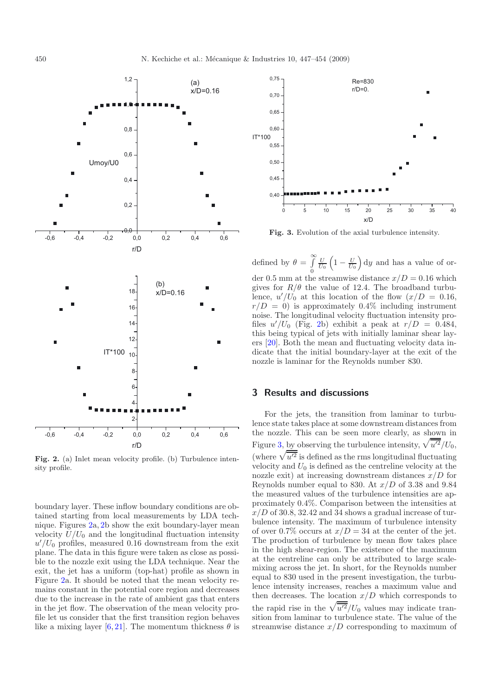

<span id="page-3-0"></span>**Fig. 2.** (a) Inlet mean velocity profile. (b) Turbulence intensity profile.

boundary layer. These inflow boundary conditions are obtained starting from local measurements by LDA technique. Figures [2a](#page-3-0), [2b](#page-3-0) show the exit boundary-layer mean velocity  $U/U_0$  and the longitudinal fluctuation intensity  $u'/U_0$  profiles, measured 0.16 downstream from the exit plane. The data in this figure were taken as close as possible to the nozzle exit using the LDA technique. Near the exit, the jet has a uniform (top-hat) profile as shown in Figure [2a](#page-3-0). It should be noted that the mean velocity remains constant in the potential core region and decreases due to the increase in the rate of ambient gas that enters in the jet flow. The observation of the mean velocity profile let us consider that the first transition region behaves like a mixing layer [\[6,](#page-7-5) [21\]](#page-7-19). The momentum thickness  $\theta$  is

<span id="page-3-1"></span>

**Fig. 3.** Evolution of the axial turbulence intensity.

defined by  $\theta = \int_{0}^{\infty}$ 0  $\frac{U}{U_0}\left(1-\frac{U}{U_0}\right)$  dy and has a value of order 0.5 mm at the streamwise distance  $x/D = 0.16$  which gives for  $R/\theta$  the value of 12.4. The broadband turbulence,  $u'/U_0$  at this location of the flow  $(x/D = 0.16,$  $r/D = 0$ ) is approximately 0.4% including instrument noise. The longitudinal velocity fluctuation intensity profiles  $u'/U_0$  (Fig. [2b](#page-3-0)) exhibit a peak at  $r/D = 0.484$ , this being typical of jets with initially laminar shear layers [\[20](#page-7-20)]. Both the mean and fluctuating velocity data indicate that the initial boundary-layer at the exit of the nozzle is laminar for the Reynolds number 830.

## **3 Results and discussions**

For the jets, the transition from laminar to turbulence state takes place at some downstream distances from the nozzle. This can be seen more clearly, as shown in Figure [3,](#page-3-1) by observing the turbulence intensity,  $\sqrt{\overline{u'^2}}/U_0$ , (where  $\sqrt{\overline{u'^2}}$  is defined as the rms longitudinal fluctuating velocity and  $U_0$  is defined as the centreline velocity at the nozzle exit) at increasing downstream distances  $x/D$  for Reynolds number equal to 830. At  $x/D$  of 3.38 and 9.84 the measured values of the turbulence intensities are approximately 0.4%. Comparison between the intensities at  $x/D$  of 30.8, 32.42 and 34 shows a gradual increase of turbulence intensity. The maximum of turbulence intensity of over 0.7% occurs at  $x/D = 34$  at the center of the jet. The production of turbulence by mean flow takes place in the high shear-region. The existence of the maximum at the centreline can only be attributed to large scalemixing across the jet. In short, for the Reynolds number equal to 830 used in the present investigation, the turbulence intensity increases, reaches a maximum value and then decreases. The location  $x/D$  which corresponds to the rapid rise in the  $\sqrt{\overline{u'^2}}/U_0$  values may indicate transition from laminar to turbulence state. The value of the streamwise distance  $x/D$  corresponding to maximum of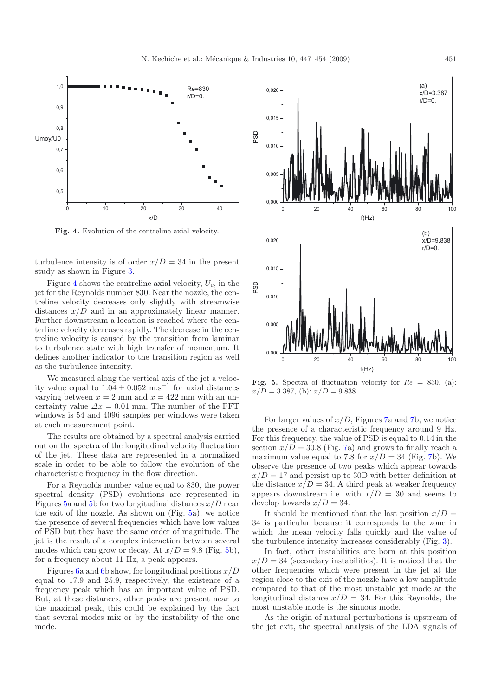<span id="page-4-0"></span>

**Fig. 4.** Evolution of the centreline axial velocity.

turbulence intensity is of order  $x/D = 34$  in the present study as shown in Figure [3.](#page-3-1)

Figure [4](#page-4-0) shows the centreline axial velocity,  $U_c$ , in the jet for the Reynolds number 830. Near the nozzle, the centreline velocity decreases only slightly with streamwise distances  $x/D$  and in an approximately linear manner. Further downstream a location is reached where the centerline velocity decreases rapidly. The decrease in the centreline velocity is caused by the transition from laminar to turbulence state with high transfer of momentum. It defines another indicator to the transition region as well as the turbulence intensity.

We measured along the vertical axis of the jet a velocity value equal to  $1.04 \pm 0.052$  m.s<sup>-1</sup> for axial distances varying between  $x = 2$  mm and  $x = 422$  mm with an uncertainty value  $\Delta x = 0.01$  mm. The number of the FFT windows is 54 and 4096 samples per windows were taken at each measurement point.

The results are obtained by a spectral analysis carried out on the spectra of the longitudinal velocity fluctuation of the jet. These data are represented in a normalized scale in order to be able to follow the evolution of the characteristic frequency in the flow direction.

For a Reynolds number value equal to 830, the power spectral density (PSD) evolutions are represented in Figures [5a](#page-4-1) and [5b](#page-4-1) for two longitudinal distances  $x/D$  near the exit of the nozzle. As shown on (Fig. [5a](#page-4-1)), we notice the presence of several frequencies which have low values of PSD but they have the same order of magnitude. The jet is the result of a complex interaction between several modes which can grow or decay. At  $x/D = 9.8$  (Fig. [5b](#page-4-1)), for a frequency about 11 Hz, a peak appears.

Figures [6a](#page-5-0) and [6b](#page-5-0) show, for longitudinal positions  $x/D$ equal to 17.9 and 25.9, respectively, the existence of a frequency peak which has an important value of PSD. But, at these distances, other peaks are present near to the maximal peak, this could be explained by the fact that several modes mix or by the instability of the one mode.



<span id="page-4-1"></span>**Fig. 5.** Spectra of fluctuation velocity for *Re* = 830, (a):  $x/D = 3.387$ , (b):  $x/D = 9.838$ .

For larger values of  $x/D$ , Figures [7a](#page-5-1) and [7b](#page-5-1), we notice the presence of a characteristic frequency around 9 Hz. For this frequency, the value of PSD is equal to 0.14 in the section  $x/D = 30.8$  (Fig. [7a](#page-5-1)) and grows to finally reach a maximum value equal to 7.8 for  $x/D = 34$  (Fig. [7b](#page-5-1)). We observe the presence of two peaks which appear towards  $x/D = 17$  and persist up to 30D with better definition at the distance  $x/D = 34$ . A third peak at weaker frequency appears downstream i.e. with  $x/D = 30$  and seems to develop towards  $x/D = 34$ .

It should be mentioned that the last position  $x/D =$ 34 is particular because it corresponds to the zone in which the mean velocity falls quickly and the value of the turbulence intensity increases considerably (Fig. [3\)](#page-3-1).

In fact, other instabilities are born at this position  $x/D = 34$  (secondary instabilities). It is noticed that the other frequencies which were present in the jet at the region close to the exit of the nozzle have a low amplitude compared to that of the most unstable jet mode at the longitudinal distance  $x/D = 34$ . For this Reynolds, the most unstable mode is the sinuous mode.

As the origin of natural perturbations is upstream of the jet exit, the spectral analysis of the LDA signals of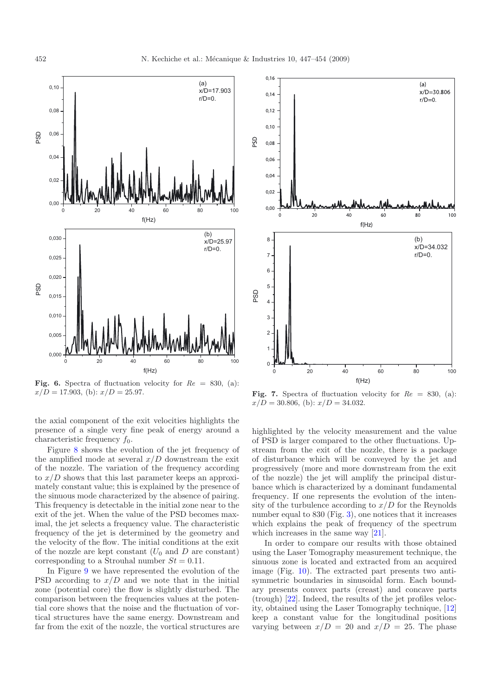

<span id="page-5-0"></span>**Fig. 6.** Spectra of fluctuation velocity for *Re* = 830, (a):  $x/D = 17.903$ , (b):  $x/D = 25.97$ .

the axial component of the exit velocities highlights the presence of a single very fine peak of energy around a characteristic frequency  $f_0$ .

Figure [8](#page-6-0) shows the evolution of the jet frequency of the amplified mode at several  $x/D$  downstream the exit of the nozzle. The variation of the frequency according to  $x/D$  shows that this last parameter keeps an approximately constant value; this is explained by the presence of the sinuous mode characterized by the absence of pairing. This frequency is detectable in the initial zone near to the exit of the jet. When the value of the PSD becomes maximal, the jet selects a frequency value. The characteristic frequency of the jet is determined by the geometry and the velocity of the flow. The initial conditions at the exit of the nozzle are kept constant  $(U_0$  and D are constant) corresponding to a Strouhal number  $St = 0.11$ .

In Figure [9](#page-6-1) we have represented the evolution of the PSD according to  $x/D$  and we note that in the initial zone (potential core) the flow is slightly disturbed. The comparison between the frequencies values at the potential core shows that the noise and the fluctuation of vortical structures have the same energy. Downstream and far from the exit of the nozzle, the vortical structures are



<span id="page-5-1"></span>**Fig. 7.** Spectra of fluctuation velocity for  $Re = 830$ , (a): *x/D* = 30*.*806, (b): *x/D* = 34*.*032.

highlighted by the velocity measurement and the value of PSD is larger compared to the other fluctuations. Upstream from the exit of the nozzle, there is a package of disturbance which will be conveyed by the jet and progressively (more and more downstream from the exit of the nozzle) the jet will amplify the principal disturbance which is characterized by a dominant fundamental frequency. If one represents the evolution of the intensity of the turbulence according to  $x/D$  for the Reynolds number equal to 830 (Fig. [3\)](#page-3-1), one notices that it increases which explains the peak of frequency of the spectrum which increases in the same way [\[21\]](#page-7-19).

In order to compare our results with those obtained using the Laser Tomography measurement technique, the sinuous zone is located and extracted from an acquired image (Fig. [10\)](#page-6-2). The extracted part presents two antisymmetric boundaries in sinusoidal form. Each boundary presents convex parts (creast) and concave parts (trough) [\[22\]](#page-7-21). Indeed, the results of the jet profiles velocity, obtained using the Laser Tomography technique, [\[12\]](#page-7-11) keep a constant value for the longitudinal positions varying between  $x/D = 20$  and  $x/D = 25$ . The phase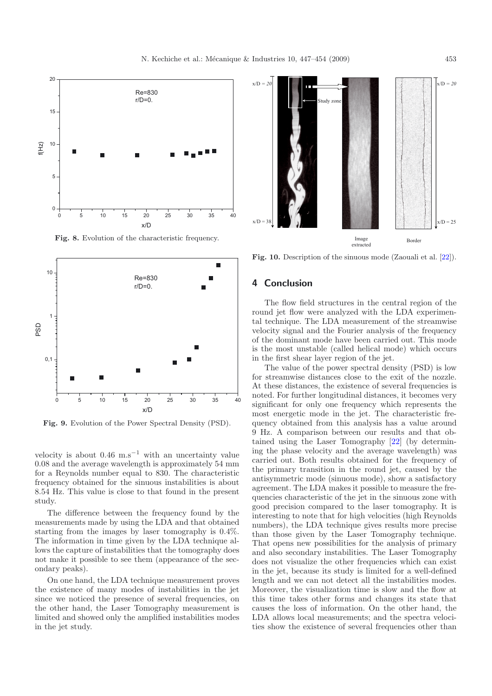<span id="page-6-0"></span>

**Fig. 8.** Evolution of the characteristic frequency.

<span id="page-6-1"></span>

**Fig. 9.** Evolution of the Power Spectral Density (PSD).

velocity is about  $0.46 \text{ m.s}^{-1}$  with an uncertainty value 0.08 and the average wavelength is approximately 54 mm for a Reynolds number equal to 830. The characteristic frequency obtained for the sinuous instabilities is about 8.54 Hz. This value is close to that found in the present study.

The difference between the frequency found by the measurements made by using the LDA and that obtained starting from the images by laser tomography is 0.4%. The information in time given by the LDA technique allows the capture of instabilities that the tomography does not make it possible to see them (appearance of the secondary peaks).

On one hand, the LDA technique measurement proves the existence of many modes of instabilities in the jet since we noticed the presence of several frequencies, on the other hand, the Laser Tomography measurement is limited and showed only the amplified instabilities modes in the jet study.

<span id="page-6-2"></span>

**Fig. 10.** Description of the sinuous mode (Zaouali et al. [\[22](#page-7-21)]).

### **4 Conclusion**

The flow field structures in the central region of the round jet flow were analyzed with the LDA experimental technique. The LDA measurement of the streamwise velocity signal and the Fourier analysis of the frequency of the dominant mode have been carried out. This mode is the most unstable (called helical mode) which occurs in the first shear layer region of the jet.

The value of the power spectral density (PSD) is low for streamwise distances close to the exit of the nozzle. At these distances, the existence of several frequencies is noted. For further longitudinal distances, it becomes very significant for only one frequency which represents the most energetic mode in the jet. The characteristic frequency obtained from this analysis has a value around 9 Hz. A comparison between our results and that obtained using the Laser Tomography [\[22](#page-7-21)] (by determining the phase velocity and the average wavelength) was carried out. Both results obtained for the frequency of the primary transition in the round jet, caused by the antisymmetric mode (sinuous mode), show a satisfactory agreement. The LDA makes it possible to measure the frequencies characteristic of the jet in the sinuous zone with good precision compared to the laser tomography. It is interesting to note that for high velocities (high Reynolds numbers), the LDA technique gives results more precise than those given by the Laser Tomography technique. That opens new possibilities for the analysis of primary and also secondary instabilities. The Laser Tomography does not visualize the other frequencies which can exist in the jet, because its study is limited for a well-defined length and we can not detect all the instabilities modes. Moreover, the visualization time is slow and the flow at this time takes other forms and changes its state that causes the loss of information. On the other hand, the LDA allows local measurements; and the spectra velocities show the existence of several frequencies other than